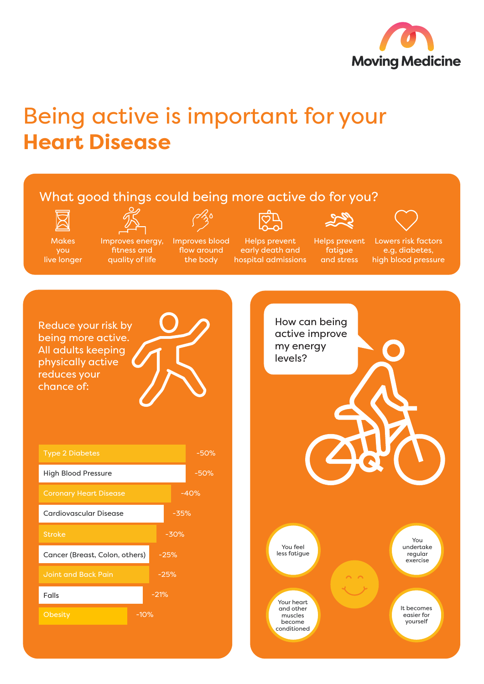

## Being active is important for your **Heart Disease**

## What good things could being more active do for you?





**Makes** you live longer

Improves energy, fitness and

Improves blood flow around the body quality of life

Helps prevent early death and hospital admissions

Helps prevent fatigue and stress

Lowers risk factors e.g, diabetes, high blood pressure

Reduce your risk by being more active. All adults keeping physically active reduces your chance of: